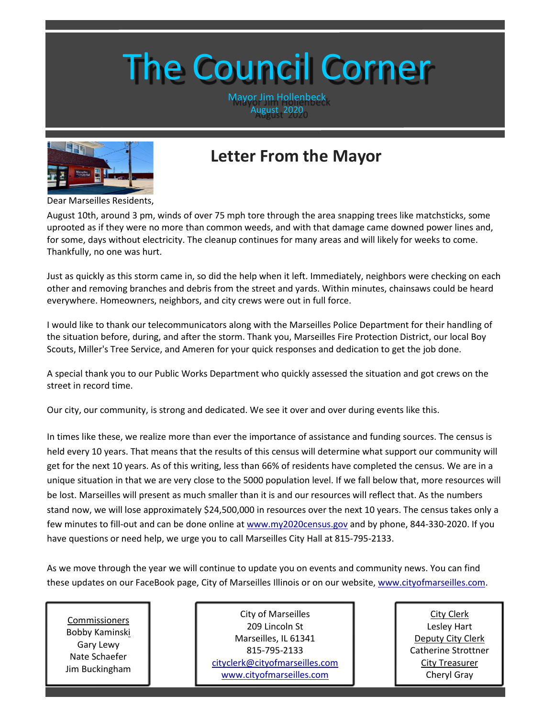# The Council Corner

Mayor Jim Hollenbeck August 2020



# **Letter From the Mayor**

Dear Marseilles Residents,

August 10th, around 3 pm, winds of over 75 mph tore through the area snapping trees like matchsticks, some uprooted as if they were no more than common weeds, and with that damage came downed power lines and, for some, days without electricity. The cleanup continues for many areas and will likely for weeks to come. Thankfully, no one was hurt.

Just as quickly as this storm came in, so did the help when it left. Immediately, neighbors were checking on each other and removing branches and debris from the street and yards. Within minutes, chainsaws could be heard everywhere. Homeowners, neighbors, and city crews were out in full force.

I would like to thank our telecommunicators along with the Marseilles Police Department for their handling of the situation before, during, and after the storm. Thank you, Marseilles Fire Protection District, our local Boy Scouts, Miller's Tree Service, and Ameren for your quick responses and dedication to get the job done.

A special thank you to our Public Works Department who quickly assessed the situation and got crews on the street in record time.

Our city, our community, is strong and dedicated. We see it over and over during events like this.

In times like these, we realize more than ever the importance of assistance and funding sources. The census is held every 10 years. That means that the results of this census will determine what support our community will get for the next 10 years. As of this writing, less than 66% of residents have completed the census. We are in a unique situation in that we are very close to the 5000 population level. If we fall below that, more resources will be lost. Marseilles will present as much smaller than it is and our resources will reflect that. As the numbers stand now, we will lose approximately \$24,500,000 in resources over the next 10 years. The census takes only a few minutes to fill-out and can be done online at [www.my2020census.gov](http://www.my2020census.gov/) and by phone, 844-330-2020. If you have questions or need help, we urge you to call Marseilles City Hall at 815-795-2133.

As we move through the year we will continue to update you on events and community news. You can find these updates on our FaceBook page, City of Marseilles Illinois or on our website, [www.cityofmarseilles.com.](http://www.cityofmarseilles.com/)

Commissioners Bobby Kaminski Gary Lewy Nate Schaefer Jim Buckingham

City of Marseilles 209 Lincoln St Marseilles, IL 61341 815-795-2133 [cityclerk@cityofmarseilles.com](mailto:cityclerk@cityofmarseilles.com) [www.cityofmarseilles.com](http://www.cityofmarseilles.com/)

City Clerk Lesley Hart Deputy City Clerk Catherine Strottner City Treasurer Cheryl Gray